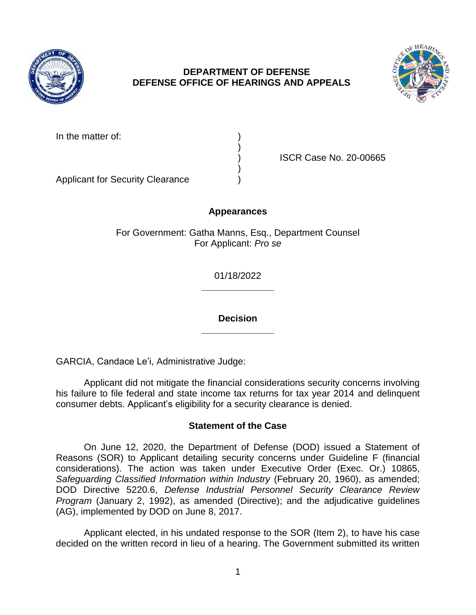

# **DEPARTMENT OF DEFENSE DEFENSE OFFICE OF HEARINGS AND APPEALS**



In the matter of:

) ISCR Case No. 20-00665

Applicant for Security Clearance )

## **Appearances**

)

)

For Government: Gatha Manns, Esq., Department Counsel For Applicant: *Pro se* 

> **\_\_\_\_\_\_\_\_\_\_\_\_\_\_**  01/18/2022

> **\_\_\_\_\_\_\_\_\_\_\_\_\_\_ Decision**

GARCIA, Candace Le'i, Administrative Judge:

 his failure to file federal and state income tax returns for tax year 2014 and delinquent Applicant did not mitigate the financial considerations security concerns involving consumer debts. Applicant's eligibility for a security clearance is denied.

## **Statement of the Case**

 On June 12, 2020, the Department of Defense (DOD) issued a Statement of Reasons (SOR) to Applicant detailing security concerns under Guideline F (financial considerations). The action was taken under Executive Order (Exec. Or.) 10865, Safeguarding Classified Information within Industry (February 20, 1960), as amended;  DOD Directive 5220.6, *Defense Industrial Personnel Security Clearance Review Program* (January 2, 1992), as amended (Directive); and the adjudicative guidelines (AG), implemented by DOD on June 8, 2017.

 Applicant elected, in his undated response to the SOR (Item 2), to have his case decided on the written record in lieu of a hearing. The Government submitted its written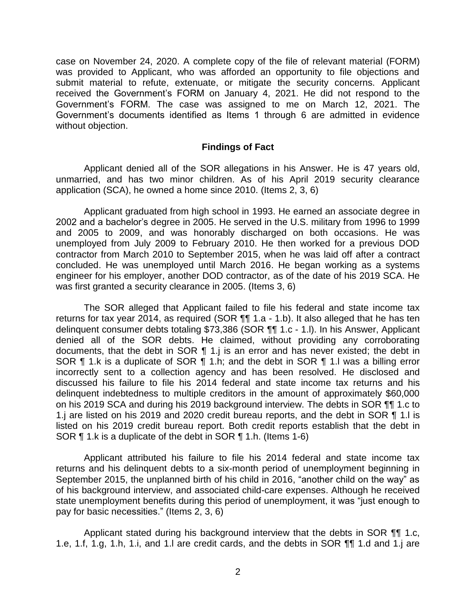case on November 24, 2020. A complete copy of the file of relevant material (FORM) was provided to Applicant, who was afforded an opportunity to file objections and submit material to refute, extenuate, or mitigate the security concerns. Applicant received the Government's FORM on January 4, 2021. He did not respond to the Government's FORM. The case was assigned to me on March 12, 2021. The Government's documents identified as Items 1 through 6 are admitted in evidence without objection.

#### **Findings of Fact**

 Applicant denied all of the SOR allegations in his Answer. He is 47 years old, unmarried, and has two minor children. As of his April 2019 security clearance application (SCA), he owned a home since 2010. (Items 2, 3, 6)

 Applicant graduated from high school in 1993. He earned an associate degree in 2002 and a bachelor's degree in 2005. He served in the U.S. military from 1996 to 1999 and 2005 to 2009, and was honorably discharged on both occasions. He was unemployed from July 2009 to February 2010. He then worked for a previous DOD contractor from March 2010 to September 2015, when he was laid off after a contract concluded. He was unemployed until March 2016. He began working as a systems engineer for his employer, another DOD contractor, as of the date of his 2019 SCA. He was first granted a security clearance in 2005. (Items 3, 6)

The SOR alleged that Applicant failed to file his federal and state income tax returns for tax year 2014, as required (SOR ¶¶ 1.a - 1.b). It also alleged that he has ten delinquent consumer debts totaling \$73,386 (SOR ¶¶ 1.c - 1.l). In his Answer, Applicant denied all of the SOR debts. He claimed, without providing any corroborating documents, that the debt in SOR ¶ 1.j is an error and has never existed; the debt in SOR ¶ 1.k is a duplicate of SOR ¶ 1.h; and the debt in SOR ¶ 1.l was a billing error incorrectly sent to a collection agency and has been resolved. He disclosed and discussed his failure to file his 2014 federal and state income tax returns and his delinquent indebtedness to multiple creditors in the amount of approximately \$60,000 on his 2019 SCA and during his 2019 background interview. The debts in SOR ¶¶ 1.c to 1.j are listed on his 2019 and 2020 credit bureau reports, and the debt in SOR ¶ 1.l is listed on his 2019 credit bureau report. Both credit reports establish that the debt in SOR ¶ 1.k is a duplicate of the debt in SOR ¶ 1.h. (Items 1-6)

 Applicant attributed his failure to file his 2014 federal and state income tax returns and his delinquent debts to a six-month period of unemployment beginning in September 2015, the unplanned birth of his child in 2016, "another child on the way" as of his background interview, and associated child-care expenses. Although he received state unemployment benefits during this period of unemployment, it was "just enough to pay for basic necessities." (Items 2, 3, 6)

Applicant stated during his background interview that the debts in SOR ¶¶ 1.c, 1.e, 1.f, 1.g, 1.h, 1.i, and 1.l are credit cards, and the debts in SOR ¶¶ 1.d and 1.j are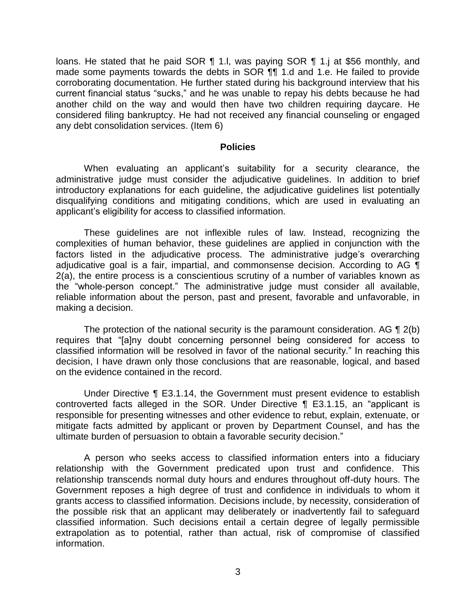made some payments towards the debts in SOR ¶¶ 1.d and 1.e. He failed to provide corroborating documentation. He further stated during his background interview that his current financial status "sucks," and he was unable to repay his debts because he had another child on the way and would then have two children requiring daycare. He considered filing bankruptcy. He had not received any financial counseling or engaged loans. He stated that he paid SOR 1 1.l, was paying SOR 1 1.j at \$56 monthly, and any debt consolidation services. (Item 6)

#### **Policies**

 administrative judge must consider the adjudicative guidelines. In addition to brief introductory explanations for each guideline, the adjudicative guidelines list potentially disqualifying conditions and mitigating conditions, which are used in evaluating an When evaluating an applicant's suitability for a security clearance, the applicant's eligibility for access to classified information.

 These guidelines are not inflexible rules of law. Instead, recognizing the complexities of human behavior, these guidelines are applied in conjunction with the factors listed in the adjudicative process. The administrative judge's overarching adjudicative goal is a fair, impartial, and commonsense decision. According to AG ¶ 2(a), the entire process is a conscientious scrutiny of a number of variables known as the "whole-person concept." The administrative judge must consider all available, reliable information about the person, past and present, favorable and unfavorable, in making a decision.

The protection of the national security is the paramount consideration. AG  $\P$  2(b) classified information will be resolved in favor of the national security." In reaching this decision, I have drawn only those conclusions that are reasonable, logical, and based requires that "[a]ny doubt concerning personnel being considered for access to on the evidence contained in the record.

 Under Directive ¶ E3.1.14, the Government must present evidence to establish responsible for presenting witnesses and other evidence to rebut, explain, extenuate, or mitigate facts admitted by applicant or proven by Department Counsel, and has the controverted facts alleged in the SOR. Under Directive ¶ E3.1.15, an "applicant is ultimate burden of persuasion to obtain a favorable security decision."

 A person who seeks access to classified information enters into a fiduciary relationship with the Government predicated upon trust and confidence. This relationship transcends normal duty hours and endures throughout off-duty hours. The Government reposes a high degree of trust and confidence in individuals to whom it grants access to classified information. Decisions include, by necessity, consideration of the possible risk that an applicant may deliberately or inadvertently fail to safeguard classified information. Such decisions entail a certain degree of legally permissible extrapolation as to potential, rather than actual, risk of compromise of classified information.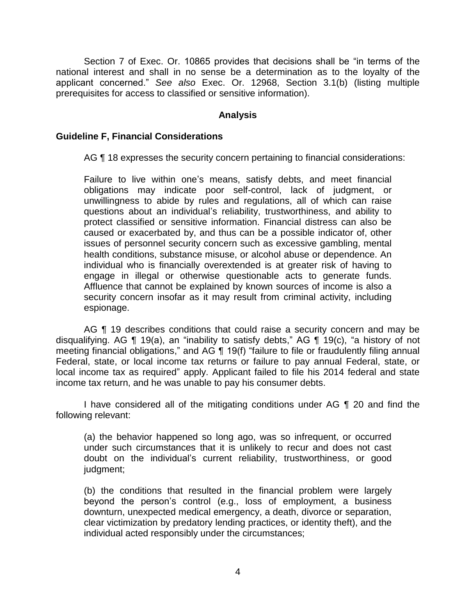Section 7 of Exec. Or. 10865 provides that decisions shall be "in terms of the national interest and shall in no sense be a determination as to the loyalty of the applicant concerned." *See also* Exec. Or. 12968, Section 3.1(b) (listing multiple prerequisites for access to classified or sensitive information).

### **Analysis**

### **Guideline F, Financial Considerations**

AG ¶ 18 expresses the security concern pertaining to financial considerations:

 Failure to live within one's means, satisfy debts, and meet financial obligations may indicate poor self-control, lack of judgment, or unwillingness to abide by rules and regulations, all of which can raise questions about an individual's reliability, trustworthiness, and ability to protect classified or sensitive information. Financial distress can also be caused or exacerbated by, and thus can be a possible indicator of, other issues of personnel security concern such as excessive gambling, mental engage in illegal or otherwise questionable acts to generate funds. Affluence that cannot be explained by known sources of income is also a health conditions, substance misuse, or alcohol abuse or dependence. An individual who is financially overextended is at greater risk of having to security concern insofar as it may result from criminal activity, including espionage.

AG ¶ 19 describes conditions that could raise a security concern and may be disqualifying. AG ¶ 19(a), an "inability to satisfy debts," AG ¶ 19(c), "a history of not meeting financial obligations," and AG ¶ 19(f) "failure to file or fraudulently filing annual Federal, state, or local income tax returns or failure to pay annual Federal, state, or local income tax as required" apply. Applicant failed to file his 2014 federal and state income tax return, and he was unable to pay his consumer debts.

I have considered all of the mitigating conditions under AG ¶ 20 and find the following relevant:

 (a) the behavior happened so long ago, was so infrequent, or occurred under such circumstances that it is unlikely to recur and does not cast doubt on the individual's current reliability, trustworthiness, or good judgment;

 (b) the conditions that resulted in the financial problem were largely beyond the person's control (e.g., loss of employment, a business clear victimization by predatory lending practices, or identity theft), and the downturn, unexpected medical emergency, a death, divorce or separation, individual acted responsibly under the circumstances;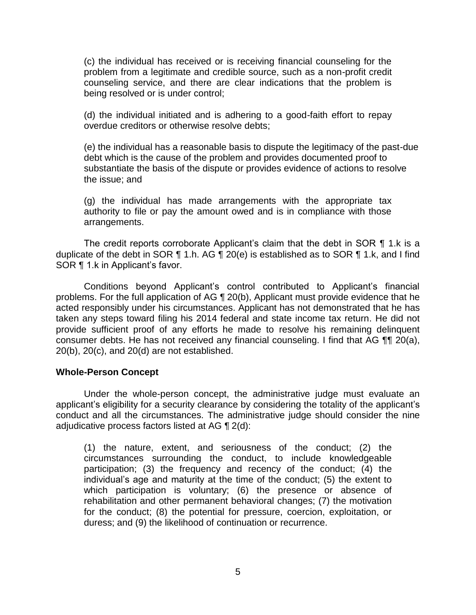(c) the individual has received or is receiving financial counseling for the problem from a legitimate and credible source, such as a non-profit credit counseling service, and there are clear indications that the problem is being resolved or is under control;

 (d) the individual initiated and is adhering to a good-faith effort to repay overdue creditors or otherwise resolve debts;

 (e) the individual has a reasonable basis to dispute the legitimacy of the past-due substantiate the basis of the dispute or provides evidence of actions to resolve debt which is the cause of the problem and provides documented proof to the issue; and

 (g) the individual has made arrangements with the appropriate tax authority to file or pay the amount owed and is in compliance with those arrangements.

 The credit reports corroborate Applicant's claim that the debt in SOR ¶ 1.k is a duplicate of the debt in SOR ¶ 1.h. AG ¶ 20(e) is established as to SOR ¶ 1.k, and I find SOR ¶ 1.k in Applicant's favor.

 Conditions beyond Applicant's control contributed to Applicant's financial problems. For the full application of AG ¶ 20(b), Applicant must provide evidence that he acted responsibly under his circumstances. Applicant has not demonstrated that he has taken any steps toward filing his 2014 federal and state income tax return. He did not provide sufficient proof of any efforts he made to resolve his remaining delinquent consumer debts. He has not received any financial counseling. I find that AG  $\P\P$  20(a), 20(b), 20(c), and 20(d) are not established.

#### **Whole-Person Concept**

 Under the whole-person concept, the administrative judge must evaluate an applicant's eligibility for a security clearance by considering the totality of the applicant's conduct and all the circumstances. The administrative judge should consider the nine adjudicative process factors listed at AG ¶ 2(d):

(1) the nature, extent, and seriousness of the conduct; (2) the circumstances surrounding the conduct, to include knowledgeable participation; (3) the frequency and recency of the conduct; (4) the individual's age and maturity at the time of the conduct; (5) the extent to which participation is voluntary; (6) the presence or absence of rehabilitation and other permanent behavioral changes; (7) the motivation for the conduct; (8) the potential for pressure, coercion, exploitation, or duress; and (9) the likelihood of continuation or recurrence.